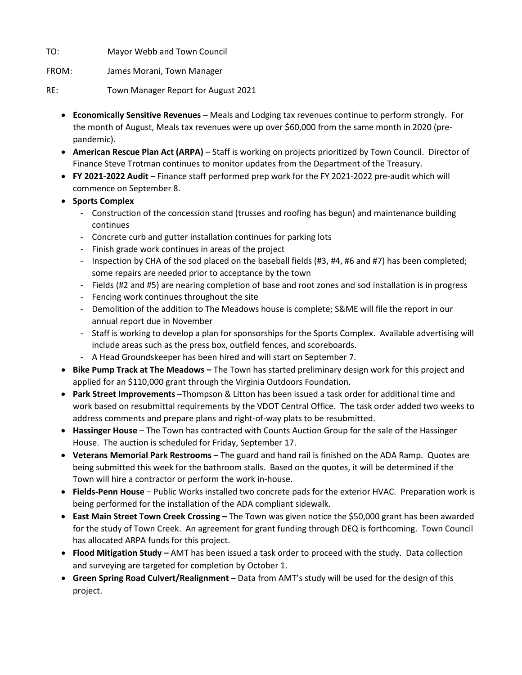TO: Mayor Webb and Town Council

FROM: James Morani, Town Manager

RE: Town Manager Report for August 2021

- **Economically Sensitive Revenues** Meals and Lodging tax revenues continue to perform strongly. For the month of August, Meals tax revenues were up over \$60,000 from the same month in 2020 (prepandemic).
- **American Rescue Plan Act (ARPA)** Staff is working on projects prioritized by Town Council. Director of Finance Steve Trotman continues to monitor updates from the Department of the Treasury.
- **FY 2021-2022 Audit** Finance staff performed prep work for the FY 2021-2022 pre-audit which will commence on September 8.
- **Sports Complex**
	- Construction of the concession stand (trusses and roofing has begun) and maintenance building continues
	- Concrete curb and gutter installation continues for parking lots
	- Finish grade work continues in areas of the project
	- Inspection by CHA of the sod placed on the baseball fields (#3, #4, #6 and #7) has been completed; some repairs are needed prior to acceptance by the town
	- Fields (#2 and #5) are nearing completion of base and root zones and sod installation is in progress
	- Fencing work continues throughout the site
	- Demolition of the addition to The Meadows house is complete; S&ME will file the report in our annual report due in November
	- Staff is working to develop a plan for sponsorships for the Sports Complex. Available advertising will include areas such as the press box, outfield fences, and scoreboards.
	- A Head Groundskeeper has been hired and will start on September 7.
- **Bike Pump Track at The Meadows –** The Town has started preliminary design work for this project and applied for an \$110,000 grant through the Virginia Outdoors Foundation.
- **Park Street Improvements** –Thompson & Litton has been issued a task order for additional time and work based on resubmittal requirements by the VDOT Central Office. The task order added two weeks to address comments and prepare plans and right-of-way plats to be resubmitted.
- **Hassinger House** The Town has contracted with Counts Auction Group for the sale of the Hassinger House. The auction is scheduled for Friday, September 17.
- **Veterans Memorial Park Restrooms** The guard and hand rail is finished on the ADA Ramp. Quotes are being submitted this week for the bathroom stalls. Based on the quotes, it will be determined if the Town will hire a contractor or perform the work in-house.
- **Fields-Penn House** Public Works installed two concrete pads for the exterior HVAC. Preparation work is being performed for the installation of the ADA compliant sidewalk.
- **East Main Street Town Creek Crossing –** The Town was given notice the \$50,000 grant has been awarded for the study of Town Creek. An agreement for grant funding through DEQ is forthcoming. Town Council has allocated ARPA funds for this project.
- **Flood Mitigation Study –** AMT has been issued a task order to proceed with the study. Data collection and surveying are targeted for completion by October 1.
- **Green Spring Road Culvert/Realignment** Data from AMT's study will be used for the design of this project.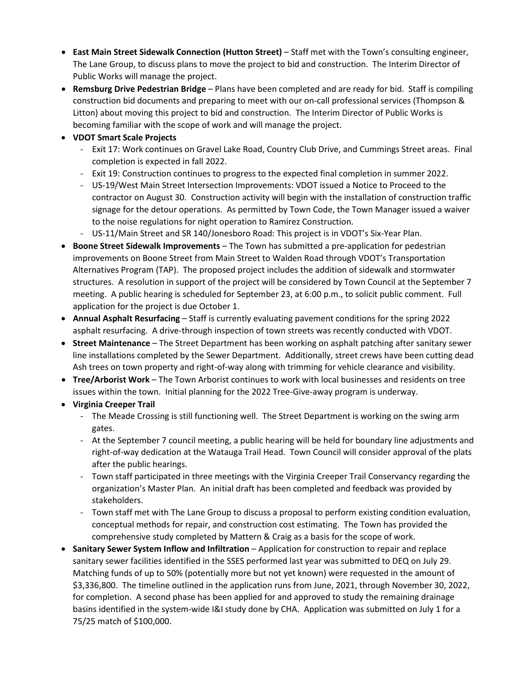- **East Main Street Sidewalk Connection (Hutton Street)** Staff met with the Town's consulting engineer, The Lane Group, to discuss plans to move the project to bid and construction. The Interim Director of Public Works will manage the project.
- **Remsburg Drive Pedestrian Bridge**  Plans have been completed and are ready for bid. Staff is compiling construction bid documents and preparing to meet with our on-call professional services (Thompson & Litton) about moving this project to bid and construction. The Interim Director of Public Works is becoming familiar with the scope of work and will manage the project.
- **VDOT Smart Scale Projects**
	- Exit 17: Work continues on Gravel Lake Road, Country Club Drive, and Cummings Street areas. Final completion is expected in fall 2022.
	- Exit 19: Construction continues to progress to the expected final completion in summer 2022.
	- US-19/West Main Street Intersection Improvements: VDOT issued a Notice to Proceed to the contractor on August 30. Construction activity will begin with the installation of construction traffic signage for the detour operations. As permitted by Town Code, the Town Manager issued a waiver to the noise regulations for night operation to Ramirez Construction.
	- US-11/Main Street and SR 140/Jonesboro Road: This project is in VDOT's Six-Year Plan.
- **Boone Street Sidewalk Improvements** The Town has submitted a pre-application for pedestrian improvements on Boone Street from Main Street to Walden Road through VDOT's Transportation Alternatives Program (TAP). The proposed project includes the addition of sidewalk and stormwater structures. A resolution in support of the project will be considered by Town Council at the September 7 meeting. A public hearing is scheduled for September 23, at 6:00 p.m., to solicit public comment. Full application for the project is due October 1.
- **Annual Asphalt Resurfacing** Staff is currently evaluating pavement conditions for the spring 2022 asphalt resurfacing. A drive-through inspection of town streets was recently conducted with VDOT.
- **Street Maintenance** The Street Department has been working on asphalt patching after sanitary sewer line installations completed by the Sewer Department. Additionally, street crews have been cutting dead Ash trees on town property and right-of-way along with trimming for vehicle clearance and visibility.
- **Tree/Arborist Work** The Town Arborist continues to work with local businesses and residents on tree issues within the town. Initial planning for the 2022 Tree-Give-away program is underway.
- **Virginia Creeper Trail**
	- The Meade Crossing is still functioning well. The Street Department is working on the swing arm gates.
	- At the September 7 council meeting, a public hearing will be held for boundary line adjustments and right-of-way dedication at the Watauga Trail Head. Town Council will consider approval of the plats after the public hearings.
	- Town staff participated in three meetings with the Virginia Creeper Trail Conservancy regarding the organization's Master Plan. An initial draft has been completed and feedback was provided by stakeholders.
	- Town staff met with The Lane Group to discuss a proposal to perform existing condition evaluation, conceptual methods for repair, and construction cost estimating. The Town has provided the comprehensive study completed by Mattern & Craig as a basis for the scope of work.
- **Sanitary Sewer System Inflow and Infiltration**  Application for construction to repair and replace sanitary sewer facilities identified in the SSES performed last year was submitted to DEQ on July 29. Matching funds of up to 50% (potentially more but not yet known) were requested in the amount of \$3,336,800. The timeline outlined in the application runs from June, 2021, through November 30, 2022, for completion. A second phase has been applied for and approved to study the remaining drainage basins identified in the system-wide I&I study done by CHA. Application was submitted on July 1 for a 75/25 match of \$100,000.